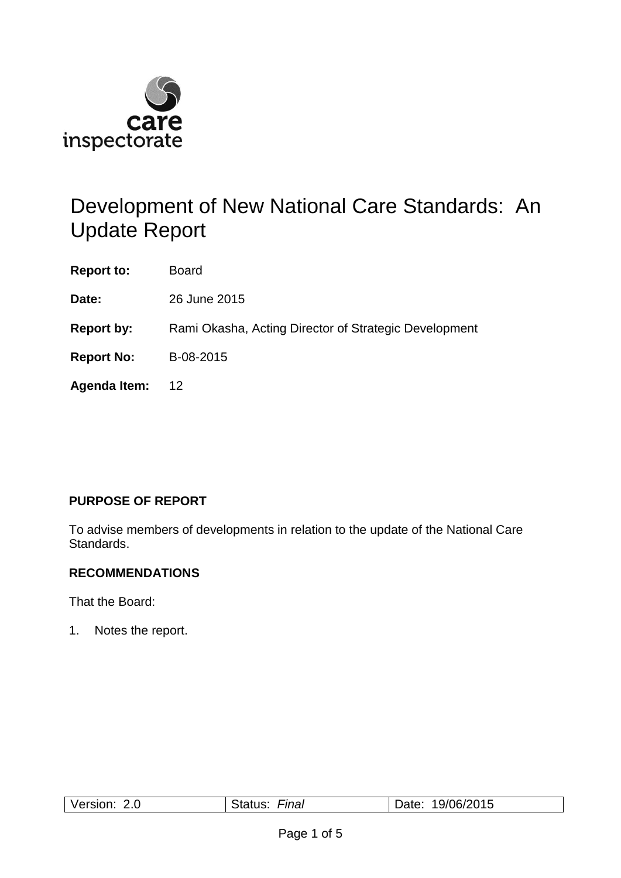

# Development of New National Care Standards: An Update Report

**Report to:** Board

**Date:** 26 June 2015

**Report by:** Rami Okasha, Acting Director of Strategic Development

**Report No:** B-08-2015

**Agenda Item:** 12

## **PURPOSE OF REPORT**

To advise members of developments in relation to the update of the National Care Standards.

## **RECOMMENDATIONS**

That the Board:

1. Notes the report.

| 19/06/2015<br>Version:<br>⊢ınaı<br>ate:<br>Oldius.<br>Z.U |
|-----------------------------------------------------------|
|-----------------------------------------------------------|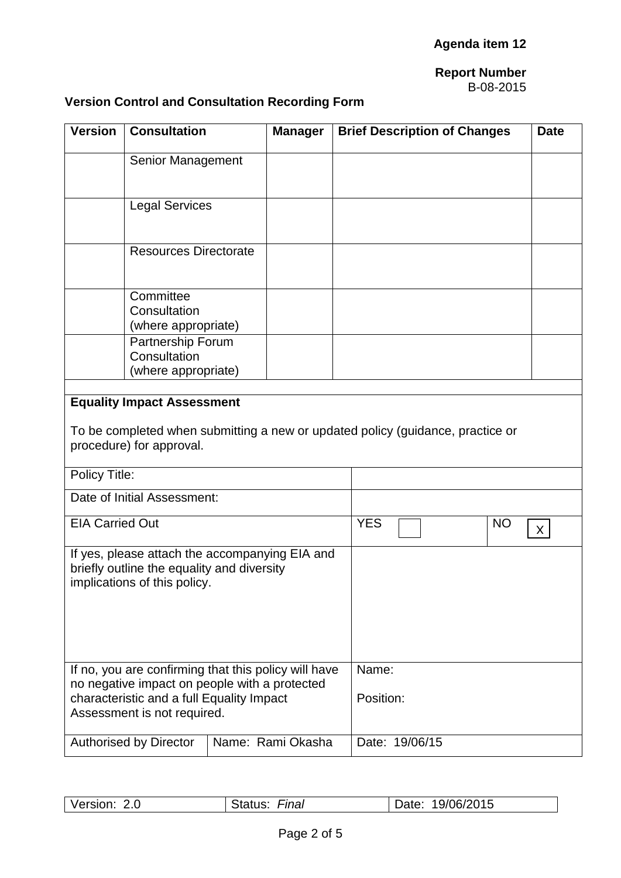## **Report Number**

#### B-08-2015

## **Version Control and Consultation Recording Form**

| <b>Version</b>                                                                                                               | <b>Consultation</b><br><b>Manager</b>                                                                      |  |  | <b>Brief Description of Changes</b> |                |  |           | <b>Date</b> |  |
|------------------------------------------------------------------------------------------------------------------------------|------------------------------------------------------------------------------------------------------------|--|--|-------------------------------------|----------------|--|-----------|-------------|--|
|                                                                                                                              | Senior Management                                                                                          |  |  |                                     |                |  |           |             |  |
|                                                                                                                              | <b>Legal Services</b>                                                                                      |  |  |                                     |                |  |           |             |  |
|                                                                                                                              | <b>Resources Directorate</b>                                                                               |  |  |                                     |                |  |           |             |  |
|                                                                                                                              | Committee<br>Consultation<br>(where appropriate)<br>Partnership Forum<br>Consultation                      |  |  |                                     |                |  |           |             |  |
| (where appropriate)                                                                                                          |                                                                                                            |  |  |                                     |                |  |           |             |  |
| <b>Equality Impact Assessment</b>                                                                                            |                                                                                                            |  |  |                                     |                |  |           |             |  |
|                                                                                                                              | To be completed when submitting a new or updated policy (guidance, practice or<br>procedure) for approval. |  |  |                                     |                |  |           |             |  |
| Policy Title:                                                                                                                |                                                                                                            |  |  |                                     |                |  |           |             |  |
| Date of Initial Assessment:                                                                                                  |                                                                                                            |  |  |                                     |                |  |           |             |  |
| <b>EIA Carried Out</b>                                                                                                       |                                                                                                            |  |  | <b>YES</b>                          |                |  | <b>NO</b> | X           |  |
| If yes, please attach the accompanying EIA and<br>briefly outline the equality and diversity<br>implications of this policy. |                                                                                                            |  |  |                                     |                |  |           |             |  |
| If no, you are confirming that this policy will have                                                                         |                                                                                                            |  |  | Name:                               |                |  |           |             |  |
| no negative impact on people with a protected<br>characteristic and a full Equality Impact<br>Assessment is not required.    |                                                                                                            |  |  | Position:                           |                |  |           |             |  |
|                                                                                                                              | Name: Rami Okasha<br><b>Authorised by Director</b>                                                         |  |  |                                     | Date: 19/06/15 |  |           |             |  |

| Version:<br>Z.U | Final<br>Status: | Date: 19/06/2015 |
|-----------------|------------------|------------------|
|                 |                  |                  |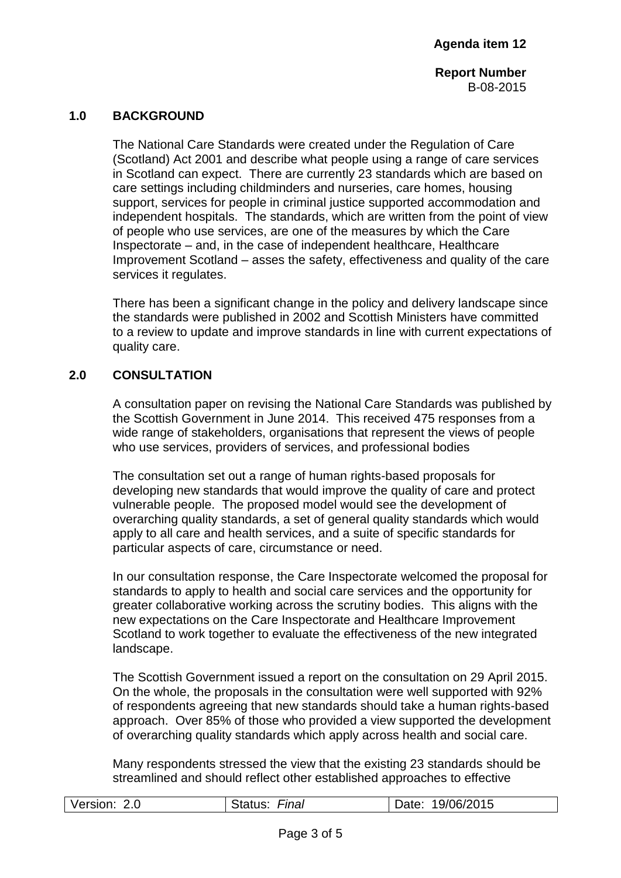**Report Number** B-08-2015

### **1.0 BACKGROUND**

The National Care Standards were created under the Regulation of Care (Scotland) Act 2001 and describe what people using a range of care services in Scotland can expect. There are currently 23 standards which are based on care settings including childminders and nurseries, care homes, housing support, services for people in criminal justice supported accommodation and independent hospitals. The standards, which are written from the point of view of people who use services, are one of the measures by which the Care Inspectorate – and, in the case of independent healthcare, Healthcare Improvement Scotland – asses the safety, effectiveness and quality of the care services it regulates.

There has been a significant change in the policy and delivery landscape since the standards were published in 2002 and Scottish Ministers have committed to a review to update and improve standards in line with current expectations of quality care.

## **2.0 CONSULTATION**

A consultation paper on revising the National Care Standards was published by the Scottish Government in June 2014. This received 475 responses from a wide range of stakeholders, organisations that represent the views of people who use services, providers of services, and professional bodies

The consultation set out a range of human rights-based proposals for developing new standards that would improve the quality of care and protect vulnerable people. The proposed model would see the development of overarching quality standards, a set of general quality standards which would apply to all care and health services, and a suite of specific standards for particular aspects of care, circumstance or need.

In our consultation response, the Care Inspectorate welcomed the proposal for standards to apply to health and social care services and the opportunity for greater collaborative working across the scrutiny bodies. This aligns with the new expectations on the Care Inspectorate and Healthcare Improvement Scotland to work together to evaluate the effectiveness of the new integrated landscape.

The Scottish Government issued a report on the consultation on 29 April 2015. On the whole, the proposals in the consultation were well supported with 92% of respondents agreeing that new standards should take a human rights-based approach. Over 85% of those who provided a view supported the development of overarching quality standards which apply across health and social care.

Many respondents stressed the view that the existing 23 standards should be streamlined and should reflect other established approaches to effective

| Version: 2.0 | Final<br>Status: | Date: 19/06/2015 |
|--------------|------------------|------------------|
|              |                  |                  |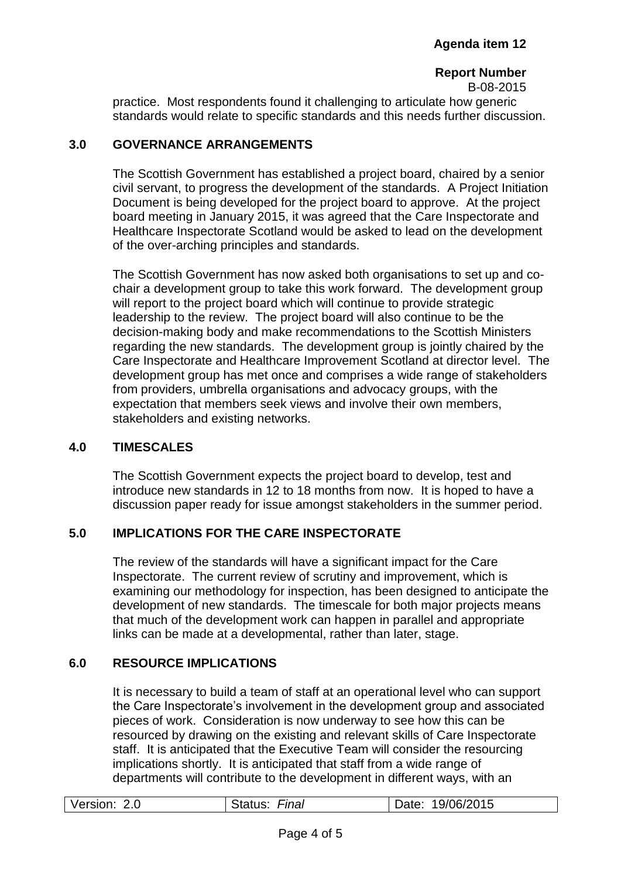#### **Report Number** B-08-2015

practice. Most respondents found it challenging to articulate how generic standards would relate to specific standards and this needs further discussion.

## **3.0 GOVERNANCE ARRANGEMENTS**

The Scottish Government has established a project board, chaired by a senior civil servant, to progress the development of the standards. A Project Initiation Document is being developed for the project board to approve. At the project board meeting in January 2015, it was agreed that the Care Inspectorate and Healthcare Inspectorate Scotland would be asked to lead on the development of the over-arching principles and standards.

The Scottish Government has now asked both organisations to set up and cochair a development group to take this work forward. The development group will report to the project board which will continue to provide strategic leadership to the review. The project board will also continue to be the decision-making body and make recommendations to the Scottish Ministers regarding the new standards. The development group is jointly chaired by the Care Inspectorate and Healthcare Improvement Scotland at director level. The development group has met once and comprises a wide range of stakeholders from providers, umbrella organisations and advocacy groups, with the expectation that members seek views and involve their own members, stakeholders and existing networks.

## **4.0 TIMESCALES**

The Scottish Government expects the project board to develop, test and introduce new standards in 12 to 18 months from now. It is hoped to have a discussion paper ready for issue amongst stakeholders in the summer period.

## **5.0 IMPLICATIONS FOR THE CARE INSPECTORATE**

The review of the standards will have a significant impact for the Care Inspectorate. The current review of scrutiny and improvement, which is examining our methodology for inspection, has been designed to anticipate the development of new standards. The timescale for both major projects means that much of the development work can happen in parallel and appropriate links can be made at a developmental, rather than later, stage.

## **6.0 RESOURCE IMPLICATIONS**

It is necessary to build a team of staff at an operational level who can support the Care Inspectorate's involvement in the development group and associated pieces of work. Consideration is now underway to see how this can be resourced by drawing on the existing and relevant skills of Care Inspectorate staff. It is anticipated that the Executive Team will consider the resourcing implications shortly. It is anticipated that staff from a wide range of departments will contribute to the development in different ways, with an

| Version:<br>19/06/2015<br>Final<br>2.0<br>Date: |
|-------------------------------------------------|
|-------------------------------------------------|